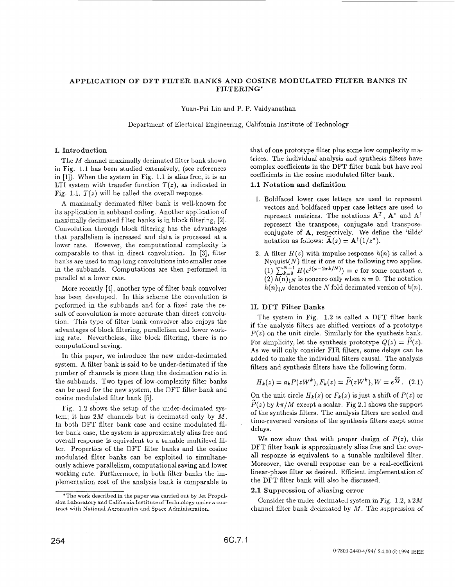# APPLICATION OF DFT FILTER BANKS AND COSINE MODULATED FILTER BANKS IN FILTERING\*

Yuan-Pei Lin and P. P. Vaidyanathan

Department of Electrical Engineering, California Institute of Technology

#### I. Introduction

The *M* channel maximally decimated filter bank shown in Fig. 1.1 has been studied extensively, (see references in [l]). When the system in Fig. 1.1 is alias free, it is an LTI system with transfer function  $T(z)$ , as indicated in Fig. 1.1.  $T(z)$  will be called the overall response.

A maximally decimated filter bank is well-known for its application in subband coding. Another application of maximally decimated filter banks is in block filtering, *[a].*  Convolution through block filtering has the advantages that parallelism is increased and data is processed at a lower rate. However, the computational complexity is comparable to that in direct convolution. In **[3],** filter banks are used to map long convolutions into smaller ones in the subbands. Computations are then performed in parallel at a lower rate.

More recently [4], another type of filter bank convolver has been developed. In this scheme the convolution is performed in the subbands and for a fixed rate the result of convolution is more accurate than direct convolution. This type of filter bank convolver also enjoys the advantages of block filtering, parallelism and lower working rate. Nevertheless, like block filtering, there is no computational saving.

In this paper, we introduce the new under-decimated system. A filter bank is said to be under-decimated if the number of channels is more than the decimation ratio in the subbands. Two types of low-complexity filter banks can be used for the new system, the DFT filter bank and cosine modulated filter bank [5].

[Fig.](#page-4-0) [1.2](#page-4-0) shows the setup of the under-decimated system; it has *2M* channels but is decimated only by *M.*  In both DFT filter bank case and cosine modulated filter bank case, the system is approximately alias free and overall response is equivalent to a tunable multilevel filter. Properties of the DFT filter banks and the cosine modulated filter banks can be exploited to simultaneously achieve parallelism, computational saving and lower working rate. Furthermore, in both filter banks the implementation cost of the analysis bank is comparable to that of one prototype filter plus some low complexity matrices. The individual analysis and synthesis filters have complex coefficients in the DFT filter bank but have real coefficients in the cosine modulated filter bank.

## 1.1 Notation **and** definition

- 1. Boldfaced lower case letters are used to represent vectors and boldfaced upper case letters are used to represent matrices. The notations  $A^T$ ,  $A^*$  and  $A^{\dagger}$ represent the transpose, conjugate and transposeconjugate of **A**, respectively. We define the 'tilde' notation as follows:  $\mathbf{A}(z) = \mathbf{A}^{\dagger} (1/z^*)$ .
- 2. A filter  $H(z)$  with impulse response  $h(n)$  is called a Nyquist $(N)$  filter if one of the following two applies. (1)  $\sum_{k=0}^{N-1} H(e^{j(\omega - 2\pi k/N)}) = c$  for some constant c.  $(2)$   $\overline{h(n)}_1N$  is nonzero only when  $n = 0$ . The notation  $h(n)$ <sub>l</sub><sub>N</sub> denotes the *N* fold decimated version of  $h(n)$ .

## 11. DFT Filter **Banks**

The system in [Fig.](#page-4-0) [1.2](#page-4-0) is called a BFT filter bank if the analysis filters are shifted versions of a prototype  $P(z)$  on the unit circle. Similarly for the synthesis bank. For simplicity, let the synthesis prototype  $Q(z) = P(z)$ . **As** we will only consider FIR filters, some delays can be added to make the individual filters causal. The analysis filters and synthesis filters have the following form.

$$
H_k(z) = a_k P(zW^k), F_k(z) = \widetilde{P}(zW^k), W = e^{\frac{2\pi}{M}}.
$$
 (2.1)

On the unit circle  $H_k(z)$  or  $F_k(z)$  is just a shift of  $P(z)$  or  $\widetilde{P}(z)$  by  $k\pi/M$  except a scalar. Fig 2.1 shows the support of the synthesis filters. The analysis filters are scaled and time-reversed versions of the synthesis filters exept some delays.

We now show that with proper design of  $P(z)$ , this DFT filter bank is approximately alias free and the overall response is equivalent to a tunable multilevel filter. Moreover, the overall response can be a real-coefficient linear-phase filter **as** desired. Efficient implementation of the DFT filter bank will also be discussed.

#### 2.1 Suppression of aliasing **error**

Consider the under-decimated system in [Fig. 1.2,](#page-4-0) a 2M channel filter bank decimated by *M.* The suppression *of* 

<sup>~</sup>  \*The **work** described in the paper was carried out by Jet Propulsion Laboratory and California Institute of Technology under **a** contract with National Aeronautics and Space Administration.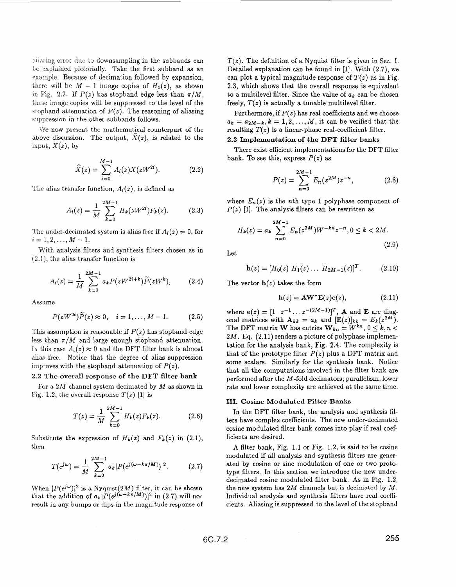be explained pictorially. Take the first subband as an example. Because of decimation followed by expansion, there will be  $M-1$  image copies of  $H_0(z)$ , as shown in Fig. 2.2. If  $P(z)$  has stopband edge less than  $\pi/M$ . these image copies will be suppressed to the level of the stopband attenuation of  $P(z)$ . The reasoning of aliasing suppression in the other subbands follows.

We now present the mathematical counterpart of the above discussion. The output,  $\hat{X}(z)$ , is related to the input,  $X(z)$ , by

$$
\widehat{X}(z) = \sum_{i=0}^{M-1} A_i(z) X(zW^{2i}).
$$
\n(2.2)

The alias transfer function,  $A_i(z)$ , is defined as

$$
A_i(z) = \frac{1}{M} \sum_{k=0}^{2M-1} H_k(zW^{2i}) F_k(z).
$$
 (2.3)

The under-decimated system is alias free if  $A_i(z) = 0$ , for  $i = 1, 2, ..., M-1.$ 

With analysis filters and synthesis filters chosen **as** in  $(2.1)$ , the alias transfer function is

$$
A_i(z) = \frac{1}{M} \sum_{k=0}^{2M-1} a_k P(zW^{2i+k}) \widetilde{P}(zW^k), \qquad (2.4)
$$

Assume

$$
P(zW^{2i})\tilde{P}(z) \approx 0, \quad i = 1,..., M - 1.
$$
 (2.5)

This assumption is reasonable if  $P(z)$  has stopband edge less than *n/M* and large enough stopband attenuation. In this case  $A_i(z) \approx 0$  and the DFT filter bank is almost **dim** free. Notice that the degree of alias suppression improves with the stopband attenuation of  $P(z)$ .

#### **be overall response of the DFT filter bank**

For a  $2M$  channel system decimated by  $M$  as shown in [Fig.](#page-4-0) 1.2, the overall response  $T(z)$  [1] is

$$
T(z) = \frac{1}{M} \sum_{k=0}^{2M-1} H_k(z) F_k(z).
$$
 (2.6)

Substitute the expression of  $H_k(z)$  and  $F_k(z)$  in (2.1), then

$$
T(e^{j\omega}) = \frac{1}{M} \sum_{k=0}^{2M-1} a_k |P(e^{j(\omega - k\pi/M)})|^2.
$$
 (2.7)

When  $|P(e^{j\omega})|^2$  is a Nyquist(2M) filter, it can be shown that the addition of  $a_k |P(e^{j(\omega - k\pi/M)})|^2$  in (2.7) will not result in any bumps or dips in the magnitude response of

downsampling in the subbands can  $T(z)$ . The definition of a Nyquist filter is given in Sec. I. Detailed explanation can be found in [l]. With *(2.7),* we can plot a typical magnitude response of  $T(z)$  as in [Fig.](#page-4-0) **[2.3,](#page-4-0)** which shows that the otverall response is equivalent to a multilevel filter. Since the value of *ak* can be chosen freely,  $T(z)$  is actually a tunable multilevel filter.

> Furthermore, if  $P(z)$  has real coefficients and we choose  $a_k = a_{2M-k}, k = 1, 2, \ldots, M$ , it can be verified that the resulting  $T(z)$  is a linear-phase real-coefficient filter.

## **2.3 Implementation of the DFT filter banks**

bank. To see this, express  $P(z)$  as There exist efficient implementations for the DFT filter

$$
P(z) = \sum_{n=0}^{2M-1} E_n(z^{2M}) z^{-n}, \qquad (2.8)
$$

where  $E_n(z)$  is the nth type 1 polyphase component of  $P(z)$  [1]. The analysis filters can be rewritten as

$$
H_k(z) = a_k \sum_{n=0}^{2M-1} E_n(z^{2M}) W^{-kn} z^{-n}, 0 \le k < 2M. \tag{2.9}
$$

Let

$$
\mathbf{h}(z) = [H_0(z) H_1(z) \dots H_{2M-1}(z)]^T.
$$
 (2.10)

The vector  $h(z)$  takes the form

$$
\mathbf{h}(z) = \mathbf{A}\mathbf{W}^* \mathbf{E}(z)\mathbf{e}(z),\tag{2.11}
$$

where  $e(z) = [1 \ z^{-1} \dots z^{-(2M-1)}]^T$ , **A** and **E** are diagonal matrices with  $A_{kk} = a_k$  and  $[E(z)]_{kk} = E_k(z^{2M})$ . The DFT matrix **W** has entries  $\mathbf{W}_{kn} = W^{kn}, 0 \leq k, n < 1$ , **2M. Eq. (2.11)** renders **a** picture of polyphase implementation for the analysis bank, Fig. **2.4.** The complexity is that of the prototype filter  $P(z)$  plus a DFT matrix and some scalars. Similarly **for** the synthesis bank. Notice that all the computations involved in the filter bank are performed after the M-fold decimators; parallelism, lower rate and lower complexity are achieved at the same time.

#### **111. Cosine Modulated Filter Banks**

In the DFT filter bank, the analysis and synthesis filters have complex coefficients. The new under-decimated cosine modulated filter bank comes into play if real coefficients are desired.

**A** filter bank, Fig. **1.1** or [Fig.](#page-4-0) **1.2,** is said to be cosine modulated if all analysis and synthesis filters are generated by cosine or sine modulation of one or two prote type filters. In this section we introduce the new underdecimated cosine modulated filter bank. **As** in [Fig.](#page-4-0) **1.2,**  the new system has  $2M$  channels but is decimated by  $M$ . Individual analysis and synthesis filters have real coefficients. Aliasing is suppressed to the level of the stopband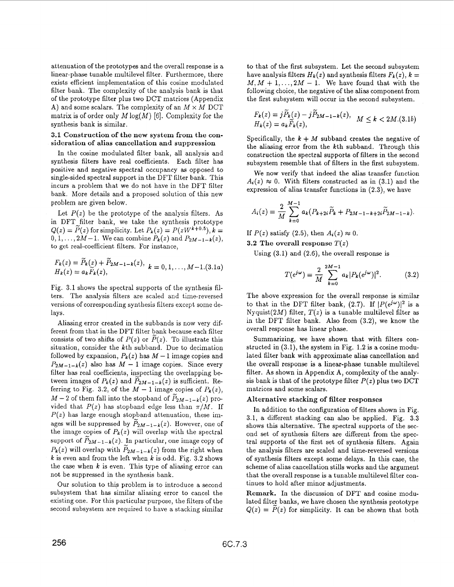<span id="page-2-0"></span>attenuation of the prototypes and the overall response is a linear-phase tunable multilevel filter. Furthermore, there exists efficient implementation of this cosine modulated filter bank. The complexity of the analysis bank is that of the prototype filter plus two DCT matrices (Appendix A) and some scalars. The complexity of an  $M \times M$  DCT matrix is of order only  $M \log(M)$  [6]. Complexity for the synthesis bank is similar.

## **3.1 Construction of the new system from the consideration of alias cancellation and suppression**

In the cosine modulated filter bank, all analysis and synthesis filters have real coefficients. Each filter has positive and negative spectral occupancy **as** opposed to single-sided spectral support in the DFT filter bank. This incurs a problem that we do not have in the DFT filter bank. More details and a proposed solution of this new problem are given below.

Let  $P(z)$  be the prototype of the analysis filters. As in DFT-filter bank, we take the synthesis prototype  $Q(z) = \widetilde{P}(z)$  for simplicity. Let  $P_k(z) = P(zW^{k+0.5}), k =$  $0, 1, \ldots, 2M-1$ . We can combine  $P_k(z)$  and  $P_{2M-1-k}(z)$ , to get real-coefficient filters. For instance,

$$
F_k(z) = \tilde{P}_k(z) + \tilde{P}_{2M-1-k}(z), \quad k = 0, 1, ..., M-1.(3.1a)
$$
  
\n
$$
H_k(z) = a_k \tilde{F}_k(z),
$$

Fig. 3.1 shows the spectral supports of the synthesis filters. The analysis filters are scaled and time-reversed versions of corresponding synthesis filters except some delays.

Aliasing error created in the subbands is now very different from that in the DFT filter bank because each filter consists of two shifts of  $P(z)$  or  $\tilde{P}(z)$ . To illustrate this situation, consider the kth subband. Due to decimation followed by expansion,  $P_k(z)$  has  $M-1$  image copies and  $P_{2M-1-k}(z)$  also has  $M-1$  image copies. Since every filter has real coefficients, inspecting the overlapping between images of  $P_k(z)$  and  $P_{2M-1-k}(z)$  is sufficient. Re-ferring to [Fig. 3.2,](#page-4-0) of the  $M-1$  image copies of  $P_k(z)$ ,  $M - 2$  of them fall into the stopband of  $\widetilde{P}_{2M-1-k}(z)$  provided that  $P(z)$  has stopband edge less than  $\pi/M$ . If  $P(z)$  has large enough stopband attenuation, these images will be suppressed by  $\tilde{P}_{2M-1-k}(z)$ . However, one of the image copies of  $P_k(z)$  will overlap with the spectral support of  $\widetilde{P}_{2M-1-k}(z)$ . In particular, one image copy of  $P_k(z)$  will overlap with  $\widetilde{P}_{2M-1-k}(z)$  from the right when *k* is even and from the left when *k* is odd. [Fig. 3.2](#page-4-0) shows the case when  $k$  is even. This type of aliasing error can not be suppressed in the synthesis bank.

Our solution to this problem is to introduce a second subsystem that has similar aliasing error to cancel the existing one. For this particular purpose, the filters of the second subsystem are required to have a stacking similar to that of the first subsystem. Let the second subsystem have analysis filters  $H_k(z)$  and synthesis filters  $F_k(z)$ ,  $k =$  $M, M + 1, \ldots, 2M - 1$ . We have found that with the following choice, the negative of the alias component from the first subsystem will occur in the second subsystem.

$$
F_k(z) = j \tilde{P}_k(z) - j \tilde{P}_{2M-1-k}(z), \quad M \le k < 2M.(3.1b)
$$
\n
$$
H_k(z) = a_k \tilde{F}_k(z),
$$

Specifically, the  $k + M$  subband creates the negative of the aliasing error from the kth subband. Through this construction the spectral supports of filters in the second subsystem resemble that of filters in the first subsystem.

We now verify that indeed the alias transfer function  $A_i(z) \approx 0$ . With filters constructed as in (3.1) and the expression of alias transfer functions in (2.3), we have

$$
A_i(z) = \frac{2}{M} \sum_{k=0}^{M-1} a_k (P_{k+2i} \widetilde{P}_k + P_{2M-1-k+2i} \widetilde{P}_{2M-1-k}).
$$

If  $P(z)$  satisfy (2.5), then  $A_i(z) \approx 0$ .

**3.2** The overall response  $T(z)$ 

Using **(3.1)** and (2.6), the overall response is

$$
T(e^{j\omega}) = \frac{2}{M} \sum_{k=0}^{2M-1} a_k |P_k(e^{j\omega})|^2.
$$
 (3.2)

The above expression for the overall response is similar to that in the DFT filter bank,  $(2.7)$ . If  $|P(e^{j\omega})|^2$  is a Nyquist(2M) filter,  $T(z)$  is a tunable multilevel filter as in the DFT filter bank. Also from (3.2), we know the overall response has linear phase.

Summarizing, we have shown that with filters constructed in (3.1), the system in [Fig. 1.2](#page-4-0) is a cosine modulated filter bank with approximate alias cancellation and the overall response is a linear-phase tunable multilevel filter. As shown in Appendix A, complexity of the analysis bank is that of the prototype filter  $P(z)$  plus two DCT matrices and some scalars.

# **Alternative stacking of filter responses**

In addition to the configuration of filters shown in Fig. 3.1, a different stacking can also be applied. [Fig. 3.3](#page-5-0) shows this alternative. The spectral supports of the second set of synthesis filters are different from the spectral supports of the first set of synthesis filters. Again the analysis filters are scaled and time-reversed versions of synthesis filters except some delays. In this case, the scheme of alias cancellation stills works and the argument that the overall response is a tunable multilevel filter continues to hold after minor adjustments.

**Remark.** In the discussion of DFT and cosine modulated filter banks, we have chosen the synthesis prototype  $Q(z) = \tilde{P}(z)$  for simplicity. It can be shown that both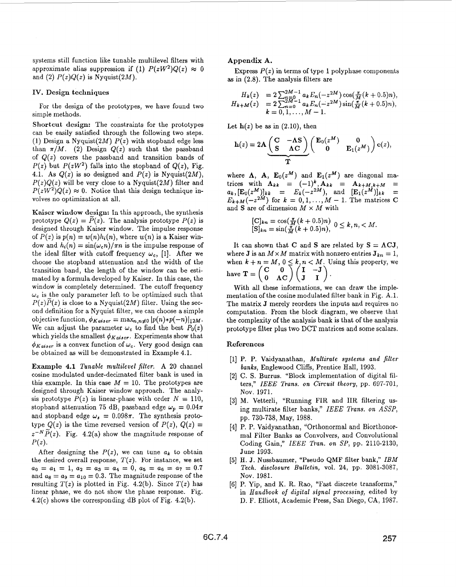systems still function like tunable multilevel filters with approximate alias suppression if (1)  $P(zW^2)Q(z) \approx 0$ and (2)  $P(z)Q(z)$  is Nyquist(2M).

## **IV. Design techniques**

For the design of the prototypes, we have found two simple methods.

**Shortcut design:** The constraints for the prototypes can be easily satisfied through the following two steps. **(I.)** Design a Nyquist(2M) *P(z)* with stopband edge less than  $\pi/M$ . (2) Design  $Q(z)$  such that the passband of  $Q(z)$  covers the passband and transition bands of  $P(z)$  but  $P(zW^2)$  falls into the stopband of  $Q(z)$ , Fig. 4.1. As  $Q(z)$  is so designed and  $P(z)$  is Nyquist(2M),  $P(z)Q(z)$  will be very close to a Nyquist(2M) filter and  $P(zW^2)Q(z) \approx 0$ . Notice that this design technique involves no optimization at all.

Kaiser window design: In this approach, the synthesis prototype  $Q(z) = \tilde{P}(z)$ . The analysis prototype  $P(z)$  is designed through Kaiser window. The impulse response of  $P(z)$  is  $p(n) = w(n)h_i(n)$ , where  $w(n)$  is a Kaiser window and  $h_i(n) = \sin(\omega_c n)/\pi n$  is the impulse response of the ideal filter with cutoff frequency  $\omega_c$ , [1]. After we choose the stopband attenuation and the width of the transition band, the length of the window can be estimated by a formula developed by Kaiser. In this case, the window is completely determined. The cutoff frequency  $\omega_c$  is the only parameter left to be optimized such that  $P(z)P(z)$  is close to a Nyquist(2M) filter. Using the second definition for a Nyquist filter, we can choose a simple objective function,  $\phi_{Kaiser} = \max_{n,n\neq 0} |p(n)*p(-n)|_{12M}$ . We can adjust the parameter  $\omega_c$  to find the best  $P_0(z)$ which yields the smallest  $\phi_{K_{{\bf q}}; s}$ . Experiments show that  $\phi_{Kaiser}$  is a convex function of  $\omega_c$ . Very good design can be obtained as will be demonstrated in Example **4.1.** 

**Example 4.1** *Tunable multilevel filter.* **A 20** channel cosine modulated under-decimated filter bank is used in this example. In this case  $M = 10$ . The prototypes are designed through Kaiser window approach. The analysis prototype  $P(z)$  is linear-phase with order  $N = 110$ , stopband attenuation 75 dB, passband edge  $\omega_p = 0.04\pi$ and stopband edge  $\omega_s = 0.098\pi$ . The synthesis prototype  $Q(z)$  is the time reversed version of  $P(z)$ ,  $Q(z)$  =  $z^{-N}\widetilde{P}(z)$ . Fig. 4.2(a) show the magnitude response of  $P(z)$ .

After designing the  $P(z)$ , we can tune  $a_k$  to obtain the desired overall response,  $T(z)$ . For instance, we set and  $a_8 = a_9 = a_{10} = 0.3$ . The magnitude response of the resulting  $T(z)$  is plotted in Fig. 4.2(b). Since  $T(z)$  has linear phase, we do not show the phase response. Fig.  $4.2(c)$  shows the corresponding dB plot of Fig.  $4.2(b)$ .  $a_0 = a_1 = 1, a_2 = a_3 = a_4 = 0, a_5 = a_6 = a_7 = 0.7$ 

## **Appendix A.**

**as** in **(2.8).** The analysis filters are Express  $P(z)$  in terms of type 1 polyphase components

$$
H_k(z) = 2 \sum_{n=0}^{2M-1} a_k E_n(-z^{2M}) \cos(\frac{\pi}{M}(k+0.5)n),
$$
  
\n
$$
H_{k+M}(z) = 2 \sum_{n=0}^{2M-1} a_k E_n(-z^{2M}) \sin(\frac{\pi}{M}(k+0.5)n),
$$
  
\n
$$
k = 0, 1, ..., M-1.
$$

Let  $h(z)$  be as in  $(2.10)$ , then

ppendix A.  
\nExpress 
$$
P(z)
$$
 in terms of type 1 polyphase component  
\nin (2.8). The analysis filters are  
\n
$$
H_k(z) = 2 \sum_{n=0}^{2M-1} a_k E_n(-z^{2M}) \cos(\frac{\pi}{M}(k+0.5)n)
$$
\n
$$
H_{k+M}(z) = 2 \sum_{n=0}^{2M-1} a_k E_n(-z^{2M}) \sin(\frac{\pi}{M}(k+0.5)n)
$$
\n
$$
k = 0, 1, ..., M - 1.
$$
\n\nIt h(z) be as in (2.10), then  
\n
$$
h(z) = 2A \underbrace{\begin{pmatrix} C & -AS \\ S & AC \end{pmatrix}}_{T} \begin{pmatrix} E_0(z^M) & 0 \\ 0 & E_1(z^M) \end{pmatrix} e(z),
$$
\n
$$
T
$$
\nhere  $\Lambda$ ,  $A$ ,  $E_0(z^M)$  and  $E_1(z^M)$  are diagonal m  
\nices with  $\Lambda_{kk} = (-1)^k, A_{kk} = A_{k+M,k+M}$ 

where  $\Lambda$ ,  $\mathbf{A}$ ,  $\mathbf{E}_0(z^M)$  and  $\mathbf{E}_1(z^M)$  are diagonal matrices with  $\Lambda_{kk}$  =  $(-1)^k$ ,  $\Lambda_{kk}$  =  $\Lambda_{k+M,k+M}$  =  $a_k$ ,  $[\mathbf{E}_0(z^M)]_{kk} = E_k(-z^{2M})$ , and  $[\mathbf{E}_1(z^M)]_{kk} = E_{k+M}(-z^{2M})$  for  $k = 0, 1, ..., M - 1$ . The matrices C and **S** are of dimension *M* x *M* with

$$
\begin{array}{l} [\mathbf{C}]_{kn} = \cos(\frac{\pi}{M}(k+0.5)n) \\ [\mathbf{S}]_{kn} = \sin(\frac{\pi}{M}(k+0.5)n), \quad 0 \le k, n, < M. \end{array}
$$

It can shown that **C** and **S** are related by  $S = \Lambda \mathbf{CJ}$ , where **J** is an  $M \times M$  matrix with nonzero entries  $J_{kn} = 1$ , when  $k + n = M$ ,  $0 \le k, n < M$ . Using this property, we have  $\mathbf{T} = \begin{pmatrix} \mathbf{C} & \mathbf{0} \\ \mathbf{0} & \mathbf{AC} \end{pmatrix} \begin{pmatrix} \mathbf{I} & \mathbf{I} \\ \mathbf{I} & \mathbf{I} \end{pmatrix}$ 

With all these informations, we can draw the implementation of the cosine modulated filter bank in Fig. **A.l.**  The matrix **J** merely reorders the inputs and requires no computation. From the block diagram, we observe that the complexity of the analysis bank is that of the analysis prototype filter **plus** two DCT matrices and some scalars.

## **References**

- **[l]** P. **P.** Vaidyanathan, *Mrultarate systems and filter banks,* Englewood Cliffs, Prentice Hall, **1993.**
- [2] C. **S.** Burrus. "Block implementation of digital filters," *IEEE Trans. on C'ircua't theory,* pp. 697-701, Nov. **1971.**
- **131** M. Vetterli, "Running FIR and IIR filtering using multirate filter banks," *IEEE Trans. on ASSP,*  pp. 730-738, May, 1988.
- **[4]** P. P. Vaidyanathan, "Orthonormal and Biorthonormal Filter Banks as Convolvers, and Convolutional Coding Gain," *IEEE Tran. on SP,* pp. **2110-2130,**  June **1993.**
- [5] **H. J.** Nussbaumer, ''Pseudo QMF filter bank," *IBM Tech. disclosure* Bulletin, vol. **24,** pp. 3081-3087, Nov. **1981.**
- [6] P. Yip, and K. R. Rao, "Fast discrete transforms," in *Handbook* of *digital signal processing,* edited by D. F. Elliott, Academic Press, San Diego, CA, 1987.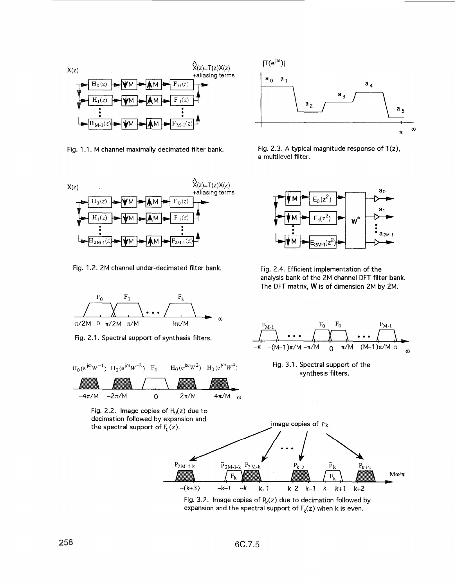<span id="page-4-0"></span>

Fig. 1.1. M channel maximally decimated filter bank.



Fig. 1.2. 2M channel under-decimated filter bank.



Fig. 2.1. Spectral support of synthesis filters.



Fig. 2.2. Image copies of *h(z)* due to decimation followed by expansion and



Fig. 2.3. A typical magnitude response of  $T(z)$ , a multilevel filter.



Fig. 2.4. Efficient implementation of the analysis bank of the 2M channel DFT filter bank. The DFT matrix, **W** is of dimension 2M by 2M.



Fig. 3.2. Image copies of  $P_k(z)$  due to decimation followed by expansion and the spectral support of  $F_k(z)$  when k is even.